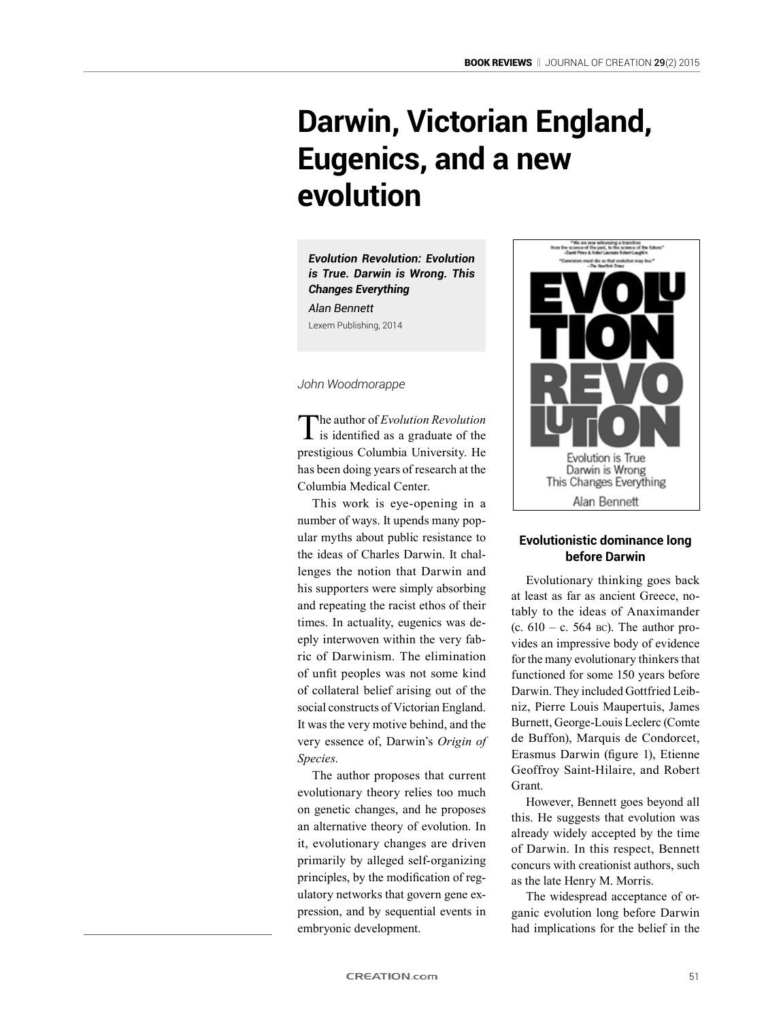# **Darwin, Victorian England, Eugenics, and a new evolution**

*Evolution Revolution: Evolution is True. Darwin is Wrong. This Changes Everything Alan Bennett* Lexem Publishing, 2014

#### *John Woodmorappe*

The author of *Evolution Revolution* is identified as a graduate of the prestigious Columbia University. He has been doing years of research at the Columbia Medical Center.

This work is eye-opening in a number of ways. It upends many popular myths about public resistance to the ideas of Charles Darwin. It challenges the notion that Darwin and his supporters were simply absorbing and repeating the racist ethos of their times. In actuality, eugenics was deeply interwoven within the very fabric of Darwinism. The elimination of unfit peoples was not some kind of collateral belief arising out of the social constructs of Victorian England. It was the very motive behind, and the very essence of, Darwin's *Origin of Species*.

The author proposes that current evolutionary theory relies too much on genetic changes, and he proposes an alternative theory of evolution. In it, evolutionary changes are driven primarily by alleged self-organizing principles, by the modification of regulatory networks that govern gene expression, and by sequential events in embryonic development.



### **Evolutionistic dominance long before Darwin**

Evolutionary thinking goes back at least as far as ancient Greece, notably to the ideas of Anaximander (c.  $610 - c$ . 564 bc). The author provides an impressive body of evidence for the many evolutionary thinkers that functioned for some 150 years before Darwin. They included Gottfried Leibniz, Pierre Louis Maupertuis, James Burnett, George-Louis Leclerc (Comte de Buffon), Marquis de Condorcet, Erasmus Darwin (figure 1), Etienne Geoffroy Saint-Hilaire, and Robert Grant.

However, Bennett goes beyond all this. He suggests that evolution was already widely accepted by the time of Darwin. In this respect, Bennett concurs with creationist authors, such as the late Henry M. Morris.

The widespread acceptance of organic evolution long before Darwin had implications for the belief in the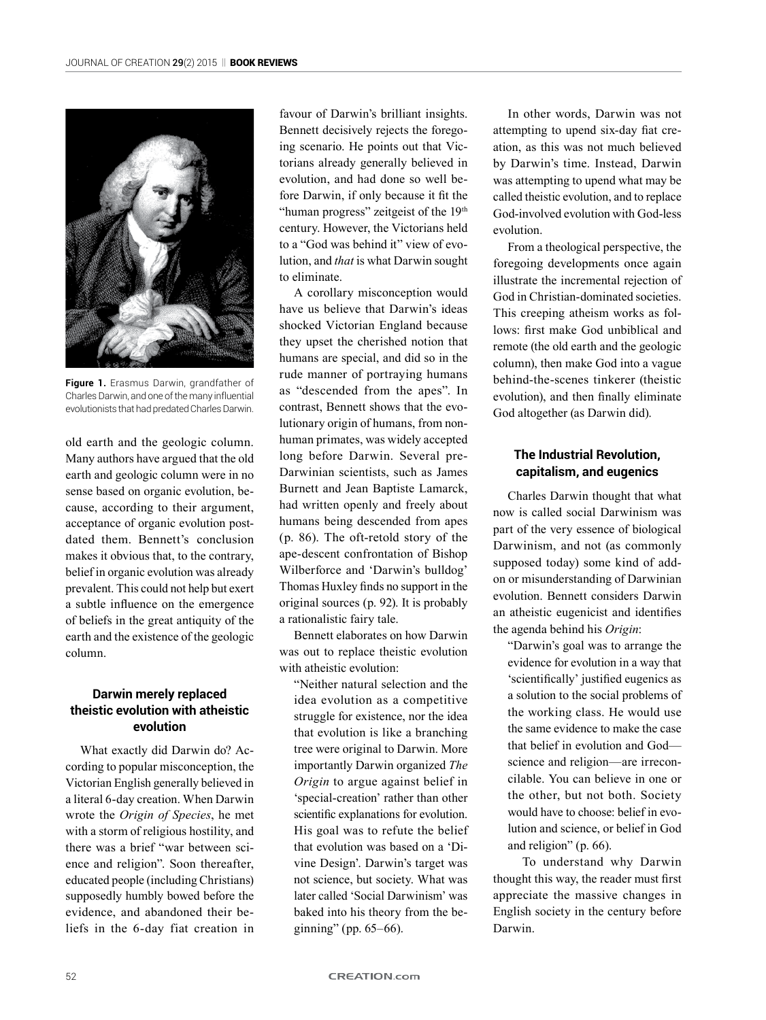

**Figure 1.** Erasmus Darwin, grandfather of Charles Darwin, and one of the many influential evolutionists that had predated Charles Darwin.

old earth and the geologic column. Many authors have argued that the old earth and geologic column were in no sense based on organic evolution, because, according to their argument, acceptance of organic evolution postdated them. Bennett's conclusion makes it obvious that, to the contrary, belief in organic evolution was already prevalent. This could not help but exert a subtle influence on the emergence of beliefs in the great antiquity of the earth and the existence of the geologic column.

## **Darwin merely replaced theistic evolution with atheistic evolution**

What exactly did Darwin do? According to popular misconception, the Victorian English generally believed in a literal 6-day creation. When Darwin wrote the *Origin of Species*, he met with a storm of religious hostility, and there was a brief "war between science and religion". Soon thereafter, educated people (including Christians) supposedly humbly bowed before the evidence, and abandoned their beliefs in the 6-day fiat creation in

favour of Darwin's brilliant insights. Bennett decisively rejects the foregoing scenario. He points out that Victorians already generally believed in evolution, and had done so well before Darwin, if only because it fit the "human progress" zeitgeist of the 19th century. However, the Victorians held to a "God was behind it" view of evolution, and *that* is what Darwin sought to eliminate.

A corollary misconception would have us believe that Darwin's ideas shocked Victorian England because they upset the cherished notion that humans are special, and did so in the rude manner of portraying humans as "descended from the apes". In contrast, Bennett shows that the evolutionary origin of humans, from nonhuman primates, was widely accepted long before Darwin. Several pre-Darwinian scientists, such as James Burnett and Jean Baptiste Lamarck, had written openly and freely about humans being descended from apes (p. 86). The oft-retold story of the ape-descent confrontation of Bishop Wilberforce and 'Darwin's bulldog' Thomas Huxley finds no support in the original sources (p. 92). It is probably a rationalistic fairy tale.

Bennett elaborates on how Darwin was out to replace theistic evolution with atheistic evolution:

"Neither natural selection and the idea evolution as a competitive struggle for existence, nor the idea that evolution is like a branching tree were original to Darwin. More importantly Darwin organized *The Origin* to argue against belief in 'special-creation' rather than other scientific explanations for evolution. His goal was to refute the belief that evolution was based on a 'Divine Design'. Darwin's target was not science, but society. What was later called 'Social Darwinism' was baked into his theory from the beginning" (pp. 65–66).

In other words, Darwin was not attempting to upend six-day fiat creation, as this was not much believed by Darwin's time. Instead, Darwin was attempting to upend what may be called theistic evolution, and to replace God-involved evolution with God-less evolution.

From a theological perspective, the foregoing developments once again illustrate the incremental rejection of God in Christian-dominated societies. This creeping atheism works as follows: first make God unbiblical and remote (the old earth and the geologic column), then make God into a vague behind-the-scenes tinkerer (theistic evolution), and then finally eliminate God altogether (as Darwin did).

## **The Industrial Revolution, capitalism, and eugenics**

Charles Darwin thought that what now is called social Darwinism was part of the very essence of biological Darwinism, and not (as commonly supposed today) some kind of addon or misunderstanding of Darwinian evolution. Bennett considers Darwin an atheistic eugenicist and identifies the agenda behind his *Origin*:

"Darwin's goal was to arrange the evidence for evolution in a way that 'scientifically' justified eugenics as a solution to the social problems of the working class. He would use the same evidence to make the case that belief in evolution and God science and religion—are irreconcilable. You can believe in one or the other, but not both. Society would have to choose: belief in evolution and science, or belief in God and religion" (p. 66).

To understand why Darwin thought this way, the reader must first appreciate the massive changes in English society in the century before Darwin.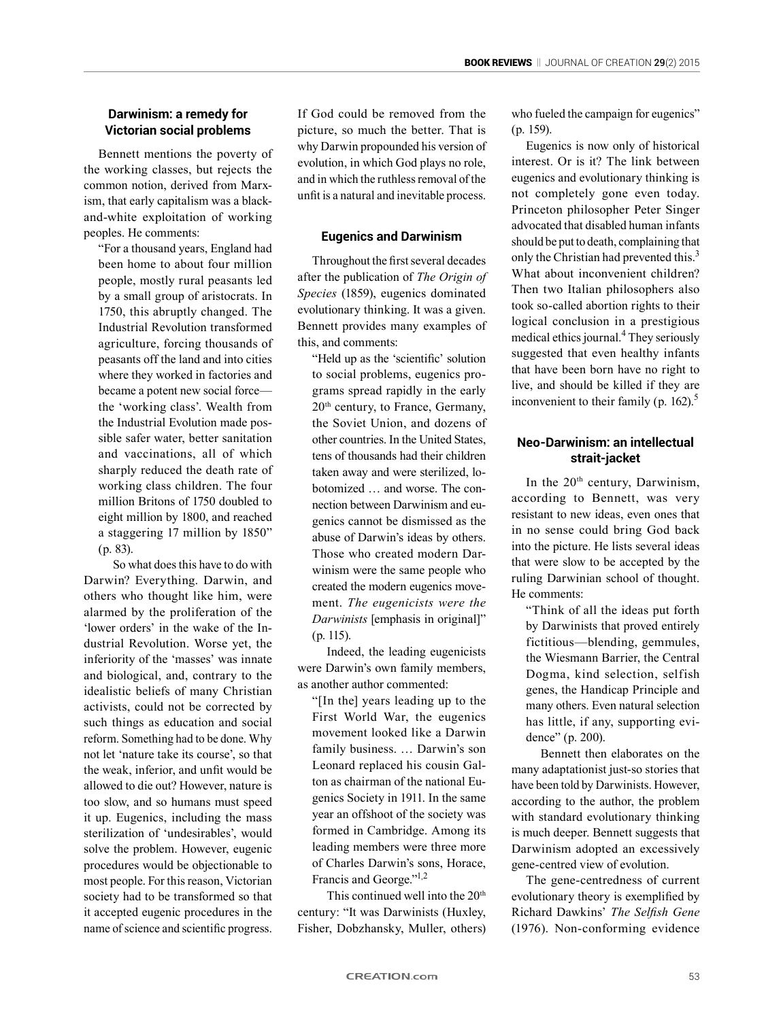# **Darwinism: a remedy for Victorian social problems**

Bennett mentions the poverty of the working classes, but rejects the common notion, derived from Marxism, that early capitalism was a blackand-white exploitation of working peoples. He comments:

"For a thousand years, England had been home to about four million people, mostly rural peasants led by a small group of aristocrats. In 1750, this abruptly changed. The Industrial Revolution transformed agriculture, forcing thousands of peasants off the land and into cities where they worked in factories and became a potent new social force the 'working class'. Wealth from the Industrial Evolution made possible safer water, better sanitation and vaccinations, all of which sharply reduced the death rate of working class children. The four million Britons of 1750 doubled to eight million by 1800, and reached a staggering 17 million by 1850" (p. 83).

So what does this have to do with Darwin? Everything. Darwin, and others who thought like him, were alarmed by the proliferation of the 'lower orders' in the wake of the Industrial Revolution. Worse yet, the inferiority of the 'masses' was innate and biological, and, contrary to the idealistic beliefs of many Christian activists, could not be corrected by such things as education and social reform. Something had to be done. Why not let 'nature take its course', so that the weak, inferior, and unfit would be allowed to die out? However, nature is too slow, and so humans must speed it up. Eugenics, including the mass sterilization of 'undesirables', would solve the problem. However, eugenic procedures would be objectionable to most people. For this reason, Victorian society had to be transformed so that it accepted eugenic procedures in the name of science and scientific progress.

If God could be removed from the picture, so much the better. That is why Darwin propounded his version of evolution, in which God plays no role, and in which the ruthless removal of the unfit is a natural and inevitable process.

#### **Eugenics and Darwinism**

Throughout the first several decades after the publication of *The Origin of Species* (1859), eugenics dominated evolutionary thinking. It was a given. Bennett provides many examples of this, and comments:

"Held up as the 'scientific' solution to social problems, eugenics programs spread rapidly in the early 20<sup>th</sup> century, to France, Germany, the Soviet Union, and dozens of other countries. In the United States, tens of thousands had their children taken away and were sterilized, lobotomized … and worse. The connection between Darwinism and eugenics cannot be dismissed as the abuse of Darwin's ideas by others. Those who created modern Darwinism were the same people who created the modern eugenics movement. *The eugenicists were the Darwinists* [emphasis in original]" (p. 115).

Indeed, the leading eugenicists were Darwin's own family members, as another author commented:

"[In the] years leading up to the First World War, the eugenics movement looked like a Darwin family business. … Darwin's son Leonard replaced his cousin Galton as chairman of the national Eugenics Society in 1911. In the same year an offshoot of the society was formed in Cambridge. Among its leading members were three more of Charles Darwin's sons, Horace, Francis and George."<sup>1,2</sup>

This continued well into the  $20<sup>th</sup>$ century: "It was Darwinists (Huxley, Fisher, Dobzhansky, Muller, others)

who fueled the campaign for eugenics" (p. 159).

Eugenics is now only of historical interest. Or is it? The link between eugenics and evolutionary thinking is not completely gone even today. Princeton philosopher Peter Singer advocated that disabled human infants should be put to death, complaining that only the Christian had prevented this.<sup>3</sup> What about inconvenient children? Then two Italian philosophers also took so-called abortion rights to their logical conclusion in a prestigious medical ethics journal.<sup>4</sup> They seriously suggested that even healthy infants that have been born have no right to live, and should be killed if they are inconvenient to their family (p. 162).<sup>5</sup>

## **Neo-Darwinism: an intellectual strait-jacket**

In the  $20<sup>th</sup>$  century, Darwinism, according to Bennett, was very resistant to new ideas, even ones that in no sense could bring God back into the picture. He lists several ideas that were slow to be accepted by the ruling Darwinian school of thought. He comments:

"Think of all the ideas put forth by Darwinists that proved entirely fictitious—blending, gemmules, the Wiesmann Barrier, the Central Dogma, kind selection, selfish genes, the Handicap Principle and many others. Even natural selection has little, if any, supporting evidence" (p. 200).

Bennett then elaborates on the many adaptationist just-so stories that have been told by Darwinists. However, according to the author, the problem with standard evolutionary thinking is much deeper. Bennett suggests that Darwinism adopted an excessively gene-centred view of evolution.

The gene-centredness of current evolutionary theory is exemplified by Richard Dawkins' *The Selfish Gene*  (1976). Non-conforming evidence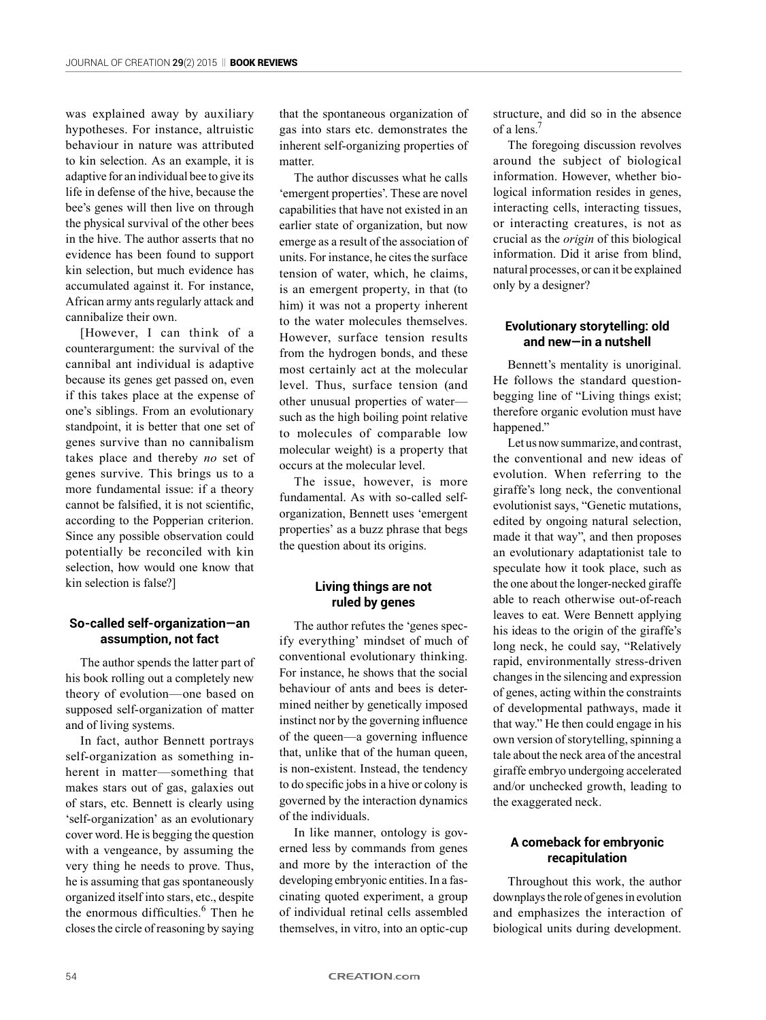was explained away by auxiliary hypotheses. For instance, altruistic behaviour in nature was attributed to kin selection. As an example, it is adaptive for an individual bee to give its life in defense of the hive, because the bee's genes will then live on through the physical survival of the other bees in the hive. The author asserts that no evidence has been found to support kin selection, but much evidence has accumulated against it. For instance, African army ants regularly attack and cannibalize their own.

[However, I can think of a counterargument: the survival of the cannibal ant individual is adaptive because its genes get passed on, even if this takes place at the expense of one's siblings. From an evolutionary standpoint, it is better that one set of genes survive than no cannibalism takes place and thereby *no* set of genes survive. This brings us to a more fundamental issue: if a theory cannot be falsified, it is not scientific, according to the Popperian criterion. Since any possible observation could potentially be reconciled with kin selection, how would one know that kin selection is false?]

#### **So-called self-organization—an assumption, not fact**

The author spends the latter part of his book rolling out a completely new theory of evolution—one based on supposed self-organization of matter and of living systems.

In fact, author Bennett portrays self-organization as something inherent in matter—something that makes stars out of gas, galaxies out of stars, etc. Bennett is clearly using 'self-organization' as an evolutionary cover word. He is begging the question with a vengeance, by assuming the very thing he needs to prove. Thus, he is assuming that gas spontaneously organized itself into stars, etc., despite the enormous difficulties.<sup>6</sup> Then he closes the circle of reasoning by saying

that the spontaneous organization of gas into stars etc. demonstrates the inherent self-organizing properties of matter.

The author discusses what he calls 'emergent properties'. These are novel capabilities that have not existed in an earlier state of organization, but now emerge as a result of the association of units. For instance, he cites the surface tension of water, which, he claims, is an emergent property, in that (to him) it was not a property inherent to the water molecules themselves. However, surface tension results from the hydrogen bonds, and these most certainly act at the molecular level. Thus, surface tension (and other unusual properties of water such as the high boiling point relative to molecules of comparable low molecular weight) is a property that occurs at the molecular level.

The issue, however, is more fundamental. As with so-called selforganization, Bennett uses 'emergent properties' as a buzz phrase that begs the question about its origins.

#### **Living things are not ruled by genes**

The author refutes the 'genes specify everything' mindset of much of conventional evolutionary thinking. For instance, he shows that the social behaviour of ants and bees is determined neither by genetically imposed instinct nor by the governing influence of the queen—a governing influence that, unlike that of the human queen, is non-existent. Instead, the tendency to do specific jobs in a hive or colony is governed by the interaction dynamics of the individuals.

In like manner, ontology is governed less by commands from genes and more by the interaction of the developing embryonic entities. In a fascinating quoted experiment, a group of individual retinal cells assembled themselves, in vitro, into an optic-cup structure, and did so in the absence of a lens.7

The foregoing discussion revolves around the subject of biological information. However, whether biological information resides in genes, interacting cells, interacting tissues, or interacting creatures, is not as crucial as the *origin* of this biological information. Did it arise from blind, natural processes, or can it be explained only by a designer?

#### **Evolutionary storytelling: old and new—in a nutshell**

Bennett's mentality is unoriginal. He follows the standard questionbegging line of "Living things exist; therefore organic evolution must have happened."

Let us now summarize, and contrast, the conventional and new ideas of evolution. When referring to the giraffe's long neck, the conventional evolutionist says, "Genetic mutations, edited by ongoing natural selection, made it that way", and then proposes an evolutionary adaptationist tale to speculate how it took place, such as the one about the longer-necked giraffe able to reach otherwise out-of-reach leaves to eat. Were Bennett applying his ideas to the origin of the giraffe's long neck, he could say, "Relatively rapid, environmentally stress-driven changes in the silencing and expression of genes, acting within the constraints of developmental pathways, made it that way." He then could engage in his own version of storytelling, spinning a tale about the neck area of the ancestral giraffe embryo undergoing accelerated and/or unchecked growth, leading to the exaggerated neck.

#### **A comeback for embryonic recapitulation**

Throughout this work, the author downplays the role of genes in evolution and emphasizes the interaction of biological units during development.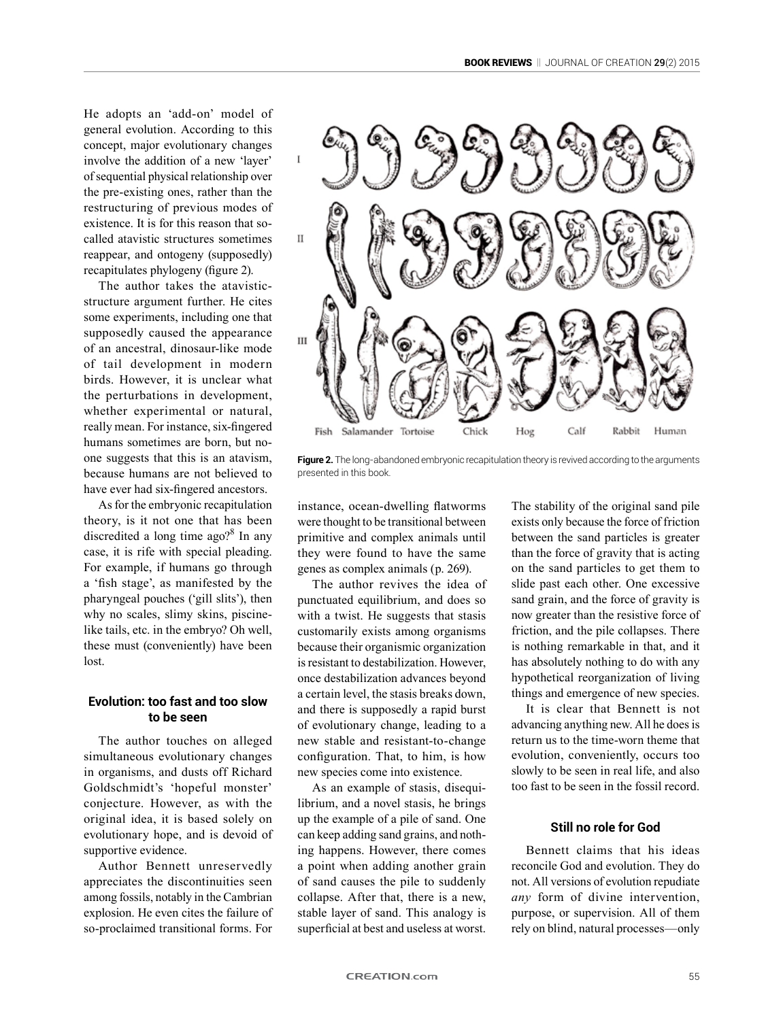He adopts an 'add-on' model of general evolution. According to this concept, major evolutionary changes involve the addition of a new 'layer' of sequential physical relationship over the pre-existing ones, rather than the restructuring of previous modes of existence. It is for this reason that socalled atavistic structures sometimes reappear, and ontogeny (supposedly) recapitulates phylogeny (figure 2).

The author takes the atavisticstructure argument further. He cites some experiments, including one that supposedly caused the appearance of an ancestral, dinosaur-like mode of tail development in modern birds. However, it is unclear what the perturbations in development, whether experimental or natural, really mean. For instance, six-fingered humans sometimes are born, but noone suggests that this is an atavism, because humans are not believed to have ever had six-fingered ancestors.

As for the embryonic recapitulation theory, is it not one that has been discredited a long time ago?<sup>8</sup> In any case, it is rife with special pleading. For example, if humans go through a 'fish stage', as manifested by the pharyngeal pouches ('gill slits'), then why no scales, slimy skins, piscinelike tails, etc. in the embryo? Oh well, these must (conveniently) have been lost.

## **Evolution: too fast and too slow to be seen**

The author touches on alleged simultaneous evolutionary changes in organisms, and dusts off Richard Goldschmidt's 'hopeful monster' conjecture. However, as with the original idea, it is based solely on evolutionary hope, and is devoid of supportive evidence.

Author Bennett unreservedly appreciates the discontinuities seen among fossils, notably in the Cambrian explosion. He even cites the failure of so-proclaimed transitional forms. For



**Figure 2.** The long-abandoned embryonic recapitulation theory is revived according to the arguments presented in this book.

instance, ocean-dwelling flatworms were thought to be transitional between primitive and complex animals until they were found to have the same genes as complex animals (p. 269).

The author revives the idea of punctuated equilibrium, and does so with a twist. He suggests that stasis customarily exists among organisms because their organismic organization is resistant to destabilization. However, once destabilization advances beyond a certain level, the stasis breaks down, and there is supposedly a rapid burst of evolutionary change, leading to a new stable and resistant-to-change configuration. That, to him, is how new species come into existence.

As an example of stasis, disequilibrium, and a novel stasis, he brings up the example of a pile of sand. One can keep adding sand grains, and nothing happens. However, there comes a point when adding another grain of sand causes the pile to suddenly collapse. After that, there is a new, stable layer of sand. This analogy is superficial at best and useless at worst.

The stability of the original sand pile exists only because the force of friction between the sand particles is greater than the force of gravity that is acting on the sand particles to get them to slide past each other. One excessive sand grain, and the force of gravity is now greater than the resistive force of friction, and the pile collapses. There is nothing remarkable in that, and it has absolutely nothing to do with any hypothetical reorganization of living things and emergence of new species.

It is clear that Bennett is not advancing anything new. All he does is return us to the time-worn theme that evolution, conveniently, occurs too slowly to be seen in real life, and also too fast to be seen in the fossil record.

#### **Still no role for God**

Bennett claims that his ideas reconcile God and evolution. They do not. All versions of evolution repudiate *any* form of divine intervention, purpose, or supervision. All of them rely on blind, natural processes—only